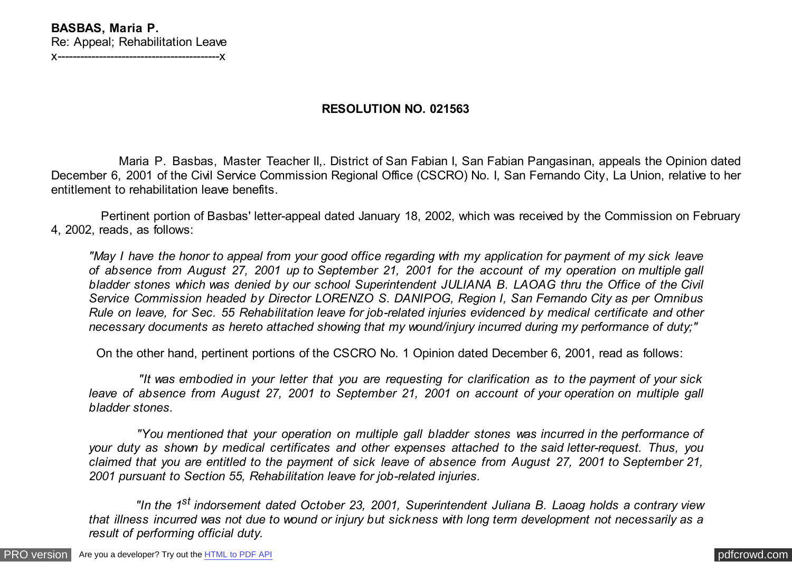## **RESOLUTION NO. 021563**

 Maria P. Basbas, Master Teacher II,. District of San Fabian I, San Fabian Pangasinan, appeals the Opinion dated December 6, 2001 of the Civil Service Commission Regional Office (CSCRO) No. I, San Fernando City, La Union, relative to her entitlement to rehabilitation leave benefits.

 Pertinent portion of Basbas' letter-appeal dated January 18, 2002, which was received by the Commission on February 4, 2002, reads, as follows:

*"May I have the honor to appeal from your good office regarding with my application for payment of my sick leave of absence from August 27, 2001 up to September 21, 2001 for the account of my operation on multiple gall bladder stones which was denied by our school Superintendent JULIANA B. LAOAG thru the Office of the Civil Service Commission headed by Director LORENZO S. DANIPOG, Region I, San Fernando City as per Omnibus Rule on leave, for Sec. 55 Rehabilitation leave for job-related injuries evidenced by medical certificate and other necessary documents as hereto attached showing that my wound/injury incurred during my performance of duty;"*

On the other hand, pertinent portions of the CSCRO No. 1 Opinion dated December 6, 2001, read as follows:

 *"It was embodied in your letter that you are requesting for clarification as to the payment of your sick leave of absence from August 27, 2001 to September 21, 2001 on account of your operation on multiple gall bladder stones.*

 *"You mentioned that your operation on multiple gall bladder stones was incurred in the performance of your duty as shown by medical certificates and other expenses attached to the said letter-request. Thus, you claimed that you are entitled to the payment of sick leave of absence from August 27, 2001 to September 21, 2001 pursuant to Section 55, Rehabilitation leave for job-related injuries.*

 *"In the 1st indorsement dated October 23, 2001, Superintendent Juliana B. Laoag holds a contrary view that illness incurred was not due to wound or injury but sickness with long term development not necessarily as a result of performing official duty.*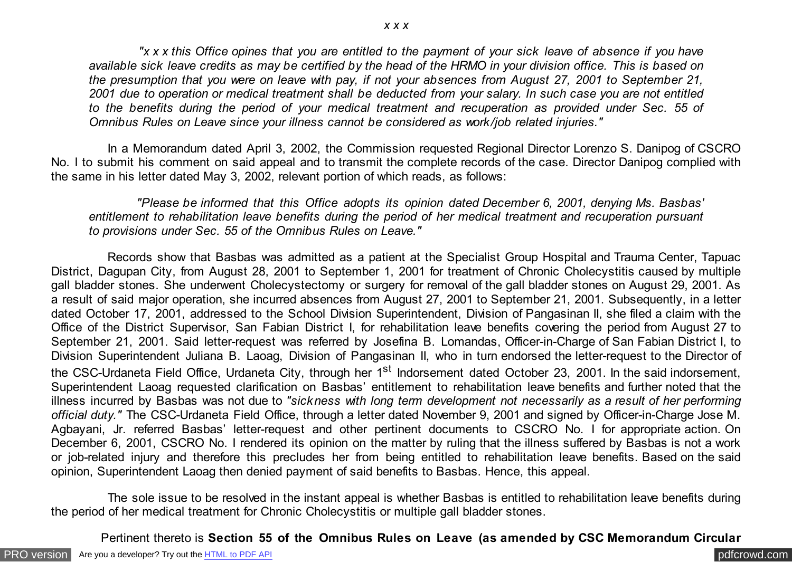*"x x x this Office opines that you are entitled to the payment of your sick leave of absence if you have available sick leave credits as may be certified by the head of the HRMO in your division office. This is based on the presumption that you were on leave with pay, if not your absences from August 27, 2001 to September 21, 2001 due to operation or medical treatment shall be deducted from your salary. In such case you are not entitled to the benefits during the period of your medical treatment and recuperation as provided under Sec. 55 of Omnibus Rules on Leave since your illness cannot be considered as work/job related injuries."*

 In a Memorandum dated April 3, 2002, the Commission requested Regional Director Lorenzo S. Danipog of CSCRO No. I to submit his comment on said appeal and to transmit the complete records of the case. Director Danipog complied with the same in his letter dated May 3, 2002, relevant portion of which reads, as follows:

 *"Please be informed that this Office adopts its opinion dated December 6, 2001, denying Ms. Basbas' entitlement to rehabilitation leave benefits during the period of her medical treatment and recuperation pursuant to provisions under Sec. 55 of the Omnibus Rules on Leave."*

 Records show that Basbas was admitted as a patient at the Specialist Group Hospital and Trauma Center, Tapuac District, Dagupan City, from August 28, 2001 to September 1, 2001 for treatment of Chronic Cholecystitis caused by multiple gall bladder stones. She underwent Cholecystectomy or surgery for removal of the gall bladder stones on August 29, 2001. As a result of said major operation, she incurred absences from August 27, 2001 to September 21, 2001. Subsequently, in a letter dated October 17, 2001, addressed to the School Division Superintendent, Division of Pangasinan II, she filed a claim with the Office of the District Supervisor, San Fabian District I, for rehabilitation leave benefits covering the period from August 27 to September 21, 2001. Said letter-request was referred by Josefina B. Lomandas, Officer-in-Charge of San Fabian District I, to Division Superintendent Juliana B. Laoag, Division of Pangasinan II, who in turn endorsed the letter-request to the Director of the CSC-Urdaneta Field Office, Urdaneta City, through her 1<sup>st</sup> Indorsement dated October 23, 2001. In the said indorsement, Superintendent Laoag requested clarification on Basbas' entitlement to rehabilitation leave benefits and further noted that the illness incurred by Basbas was not due to *"sickness with long term development not necessarily as a result of her performing official duty."* The CSC-Urdaneta Field Office, through a letter dated November 9, 2001 and signed by Officer-in-Charge Jose M. Agbayani, Jr. referred Basbas' letter-request and other pertinent documents to CSCRO No. I for appropriate action. On December 6, 2001, CSCRO No. I rendered its opinion on the matter by ruling that the illness suffered by Basbas is not a work or job-related injury and therefore this precludes her from being entitled to rehabilitation leave benefits. Based on the said opinion, Superintendent Laoag then denied payment of said benefits to Basbas. Hence, this appeal.

 The sole issue to be resolved in the instant appeal is whether Basbas is entitled to rehabilitation leave benefits during the period of her medical treatment for Chronic Cholecystitis or multiple gall bladder stones.

Pertinent thereto is **Section 55 of the Omnibus Rules on Leave (as amended by CSC Memorandum Circular**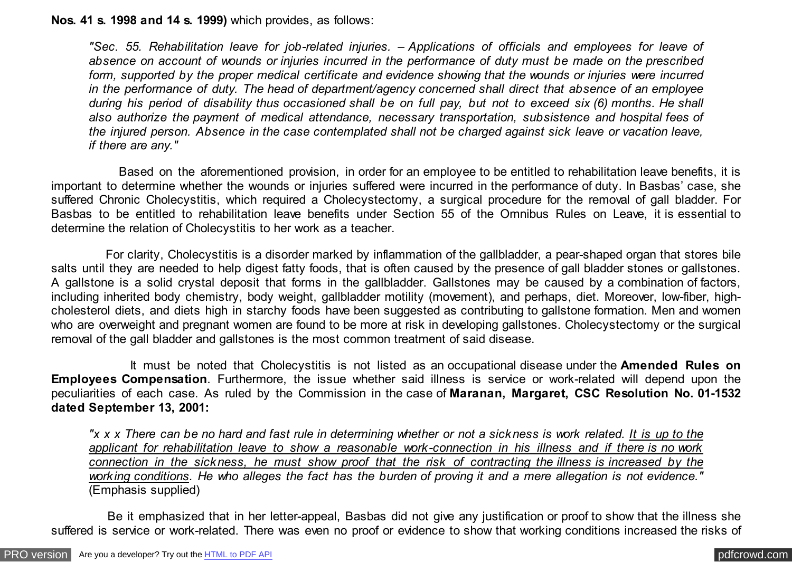## **Nos. 41 s. 1998 and 14 s. 1999)** which provides, as follows:

*"Sec. 55. Rehabilitation leave for job-related injuries. – Applications of officials and employees for leave of absence on account of wounds or injuries incurred in the performance of duty must be made on the prescribed form, supported by the proper medical certificate and evidence showing that the wounds or injuries were incurred in the performance of duty. The head of department/agency concerned shall direct that absence of an employee during his period of disability thus occasioned shall be on full pay, but not to exceed six (6) months. He shall also authorize the payment of medical attendance, necessary transportation, subsistence and hospital fees of the injured person. Absence in the case contemplated shall not be charged against sick leave or vacation leave, if there are any."*

 Based on the aforementioned provision, in order for an employee to be entitled to rehabilitation leave benefits, it is important to determine whether the wounds or injuries suffered were incurred in the performance of duty. In Basbas' case, she suffered Chronic Cholecystitis, which required a Cholecystectomy, a surgical procedure for the removal of gall bladder. For Basbas to be entitled to rehabilitation leave benefits under Section 55 of the Omnibus Rules on Leave, it is essential to determine the relation of Cholecystitis to her work as a teacher.

 For clarity, Cholecystitis is a disorder marked by inflammation of the gallbladder, a pear-shaped organ that stores bile salts until they are needed to help digest fatty foods, that is often caused by the presence of gall bladder stones or gallstones. A gallstone is a solid crystal deposit that forms in the gallbladder. Gallstones may be caused by a combination of factors, including inherited body chemistry, body weight, gallbladder motility (movement), and perhaps, diet. Moreover, low-fiber, highcholesterol diets, and diets high in starchy foods have been suggested as contributing to gallstone formation. Men and women who are overweight and pregnant women are found to be more at risk in developing gallstones. Cholecystectomy or the surgical removal of the gall bladder and gallstones is the most common treatment of said disease.

 It must be noted that Cholecystitis is not listed as an occupational disease under the **Amended Rules on Employees Compensation**. Furthermore, the issue whether said illness is service or work-related will depend upon the peculiarities of each case. As ruled by the Commission in the case of **Maranan, Margaret, CSC Resolution No. 01-1532 dated September 13, 2001:**

*"x x x There can be no hard and fast rule in determining whether or not a sickness is work related. It is up to the applicant for rehabilitation leave to show a reasonable work-connection in his illness and if there is no work connection in the sickness, he must show proof that the risk of contracting the illness is increased by the working conditions. He who alleges the fact has the burden of proving it and a mere allegation is not evidence."* (Emphasis supplied)

 Be it emphasized that in her letter-appeal, Basbas did not give any justification or proof to show that the illness she suffered is service or work-related. There was even no proof or evidence to show that working conditions increased the risks of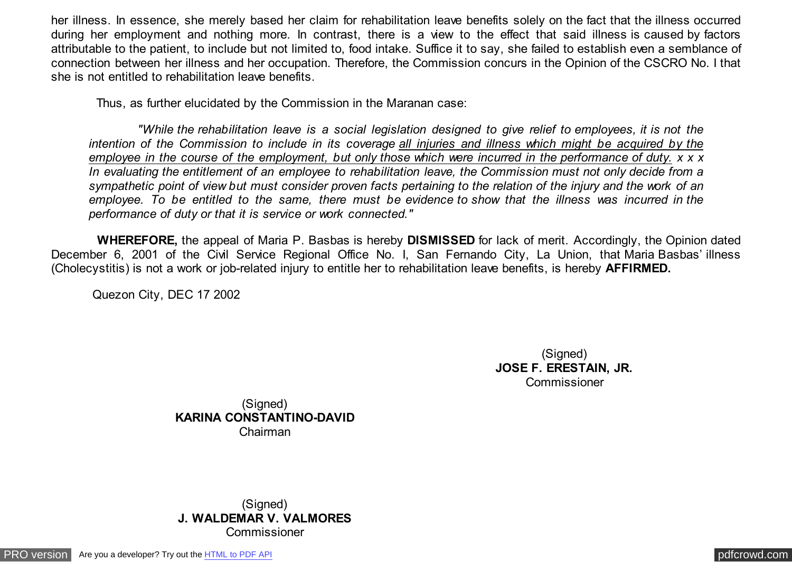her illness. In essence, she merely based her claim for rehabilitation leave benefits solely on the fact that the illness occurred during her employment and nothing more. In contrast, there is a view to the effect that said illness is caused by factors attributable to the patient, to include but not limited to, food intake. Suffice it to say, she failed to establish even a semblance of connection between her illness and her occupation. Therefore, the Commission concurs in the Opinion of the CSCRO No. I that she is not entitled to rehabilitation leave benefits.

Thus, as further elucidated by the Commission in the Maranan case:

 *"While the rehabilitation leave is a social legislation designed to give relief to employees, it is not the intention of the Commission to include in its coverage all injuries and illness which might be acquired by the employee in the course of the employment, but only those which were incurred in the performance of duty. x x x In evaluating the entitlement of an employee to rehabilitation leave, the Commission must not only decide from a sympathetic point of view but must consider proven facts pertaining to the relation of the injury and the work of an employee. To be entitled to the same, there must be evidence to show that the illness was incurred in the performance of duty or that it is service or work connected."*

 **WHEREFORE,** the appeal of Maria P. Basbas is hereby **DISMISSED** for lack of merit. Accordingly, the Opinion dated December 6, 2001 of the Civil Service Regional Office No. I, San Fernando City, La Union, that Maria Basbas' illness (Cholecystitis) is not a work or job-related injury to entitle her to rehabilitation leave benefits, is hereby **AFFIRMED.**

Quezon City, DEC 17 2002

(Signed) **JOSE F. ERESTAIN, JR.** Commissioner

(Signed) **KARINA CONSTANTINO-DAVID** Chairman

(Signed) **J. WALDEMAR V. VALMORES** Commissioner